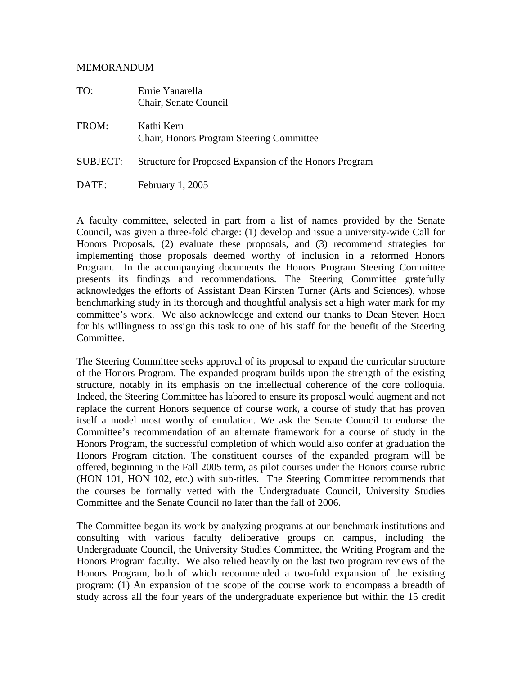#### MEMORANDUM

| TO:             | Ernie Yanarella<br>Chair, Senate Council                      |
|-----------------|---------------------------------------------------------------|
| FROM:           | Kathi Kern<br><b>Chair, Honors Program Steering Committee</b> |
| <b>SUBJECT:</b> | Structure for Proposed Expansion of the Honors Program        |
| DATE:           | February 1, 2005                                              |

A faculty committee, selected in part from a list of names provided by the Senate Council, was given a three-fold charge: (1) develop and issue a university-wide Call for Honors Proposals, (2) evaluate these proposals, and (3) recommend strategies for implementing those proposals deemed worthy of inclusion in a reformed Honors Program. In the accompanying documents the Honors Program Steering Committee presents its findings and recommendations. The Steering Committee gratefully acknowledges the efforts of Assistant Dean Kirsten Turner (Arts and Sciences), whose benchmarking study in its thorough and thoughtful analysis set a high water mark for my committee's work. We also acknowledge and extend our thanks to Dean Steven Hoch for his willingness to assign this task to one of his staff for the benefit of the Steering Committee.

The Steering Committee seeks approval of its proposal to expand the curricular structure of the Honors Program. The expanded program builds upon the strength of the existing structure, notably in its emphasis on the intellectual coherence of the core colloquia. Indeed, the Steering Committee has labored to ensure its proposal would augment and not replace the current Honors sequence of course work, a course of study that has proven itself a model most worthy of emulation. We ask the Senate Council to endorse the Committee's recommendation of an alternate framework for a course of study in the Honors Program, the successful completion of which would also confer at graduation the Honors Program citation. The constituent courses of the expanded program will be offered, beginning in the Fall 2005 term, as pilot courses under the Honors course rubric (HON 101, HON 102, etc.) with sub-titles. The Steering Committee recommends that the courses be formally vetted with the Undergraduate Council, University Studies Committee and the Senate Council no later than the fall of 2006.

The Committee began its work by analyzing programs at our benchmark institutions and consulting with various faculty deliberative groups on campus, including the Undergraduate Council, the University Studies Committee, the Writing Program and the Honors Program faculty. We also relied heavily on the last two program reviews of the Honors Program, both of which recommended a two-fold expansion of the existing program: (1) An expansion of the scope of the course work to encompass a breadth of study across all the four years of the undergraduate experience but within the 15 credit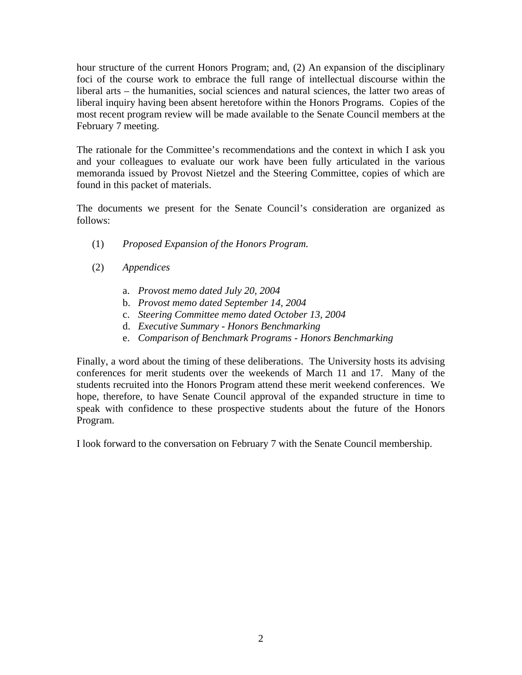hour structure of the current Honors Program; and, (2) An expansion of the disciplinary foci of the course work to embrace the full range of intellectual discourse within the liberal arts – the humanities, social sciences and natural sciences, the latter two areas of liberal inquiry having been absent heretofore within the Honors Programs. Copies of the most recent program review will be made available to the Senate Council members at the February 7 meeting.

The rationale for the Committee's recommendations and the context in which I ask you and your colleagues to evaluate our work have been fully articulated in the various memoranda issued by Provost Nietzel and the Steering Committee, copies of which are found in this packet of materials.

The documents we present for the Senate Council's consideration are organized as follows:

- (1) *Proposed Expansion of the Honors Program.*
- (2) *Appendices*
	- a. *Provost memo dated July 20, 2004*
	- b. *Provost memo dated September 14, 2004*
	- c. *Steering Committee memo dated October 13, 2004*
	- d. *Executive Summary Honors Benchmarking*
	- e. *Comparison of Benchmark Programs Honors Benchmarking*

Finally, a word about the timing of these deliberations. The University hosts its advising conferences for merit students over the weekends of March 11 and 17. Many of the students recruited into the Honors Program attend these merit weekend conferences. We hope, therefore, to have Senate Council approval of the expanded structure in time to speak with confidence to these prospective students about the future of the Honors Program.

I look forward to the conversation on February 7 with the Senate Council membership.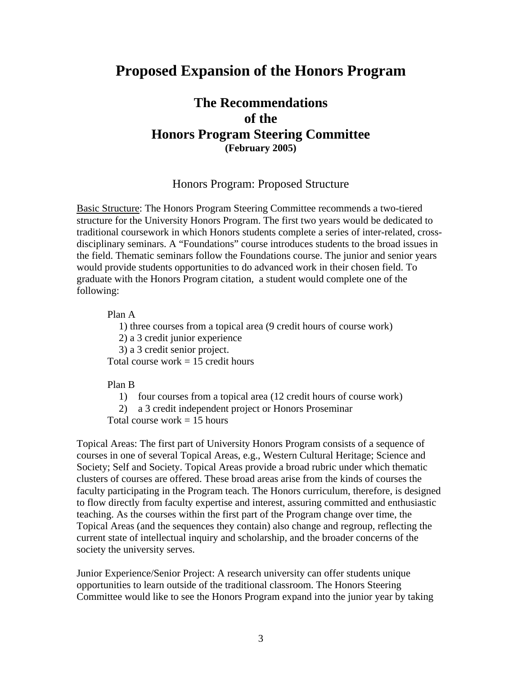# **Proposed Expansion of the Honors Program**

# **The Recommendations of the Honors Program Steering Committee (February 2005)**

## Honors Program: Proposed Structure

Basic Structure: The Honors Program Steering Committee recommends a two-tiered structure for the University Honors Program. The first two years would be dedicated to traditional coursework in which Honors students complete a series of inter-related, crossdisciplinary seminars. A "Foundations" course introduces students to the broad issues in the field. Thematic seminars follow the Foundations course. The junior and senior years would provide students opportunities to do advanced work in their chosen field. To graduate with the Honors Program citation, a student would complete one of the following:

Plan A

1) three courses from a topical area (9 credit hours of course work)

2) a 3 credit junior experience

3) a 3 credit senior project.

Total course work  $= 15$  credit hours

#### Plan B

1) four courses from a topical area (12 credit hours of course work)

2) a 3 credit independent project or Honors Proseminar

Total course work  $= 15$  hours

Topical Areas: The first part of University Honors Program consists of a sequence of courses in one of several Topical Areas, e.g., Western Cultural Heritage; Science and Society; Self and Society. Topical Areas provide a broad rubric under which thematic clusters of courses are offered. These broad areas arise from the kinds of courses the faculty participating in the Program teach. The Honors curriculum, therefore, is designed to flow directly from faculty expertise and interest, assuring committed and enthusiastic teaching. As the courses within the first part of the Program change over time, the Topical Areas (and the sequences they contain) also change and regroup, reflecting the current state of intellectual inquiry and scholarship, and the broader concerns of the society the university serves.

Junior Experience/Senior Project: A research university can offer students unique opportunities to learn outside of the traditional classroom. The Honors Steering Committee would like to see the Honors Program expand into the junior year by taking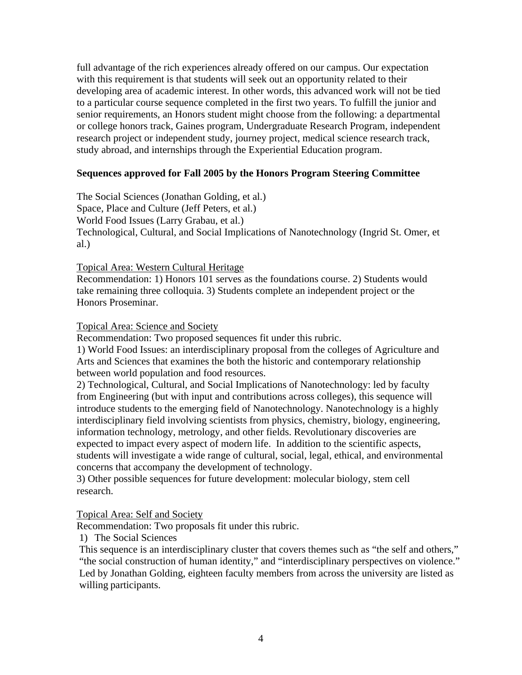full advantage of the rich experiences already offered on our campus. Our expectation with this requirement is that students will seek out an opportunity related to their developing area of academic interest. In other words, this advanced work will not be tied to a particular course sequence completed in the first two years. To fulfill the junior and senior requirements, an Honors student might choose from the following: a departmental or college honors track, Gaines program, Undergraduate Research Program, independent research project or independent study, journey project, medical science research track, study abroad, and internships through the Experiential Education program.

# **Sequences approved for Fall 2005 by the Honors Program Steering Committee**

The Social Sciences (Jonathan Golding, et al.) Space, Place and Culture (Jeff Peters, et al.) World Food Issues (Larry Grabau, et al.) Technological, Cultural, and Social Implications of Nanotechnology (Ingrid St. Omer, et al.)

## Topical Area: Western Cultural Heritage

Recommendation: 1) Honors 101 serves as the foundations course. 2) Students would take remaining three colloquia. 3) Students complete an independent project or the Honors Proseminar.

## Topical Area: Science and Society

Recommendation: Two proposed sequences fit under this rubric.

1) World Food Issues: an interdisciplinary proposal from the colleges of Agriculture and Arts and Sciences that examines the both the historic and contemporary relationship between world population and food resources.

2) Technological, Cultural, and Social Implications of Nanotechnology: led by faculty from Engineering (but with input and contributions across colleges), this sequence will introduce students to the emerging field of Nanotechnology. Nanotechnology is a highly interdisciplinary field involving scientists from physics, chemistry, biology, engineering, information technology, metrology, and other fields. Revolutionary discoveries are expected to impact every aspect of modern life. In addition to the scientific aspects, students will investigate a wide range of cultural, social, legal, ethical, and environmental concerns that accompany the development of technology.

3) Other possible sequences for future development: molecular biology, stem cell research.

Topical Area: Self and Society

Recommendation: Two proposals fit under this rubric.

1) The Social Sciences

This sequence is an interdisciplinary cluster that covers themes such as "the self and others," "the social construction of human identity," and "interdisciplinary perspectives on violence." Led by Jonathan Golding, eighteen faculty members from across the university are listed as willing participants.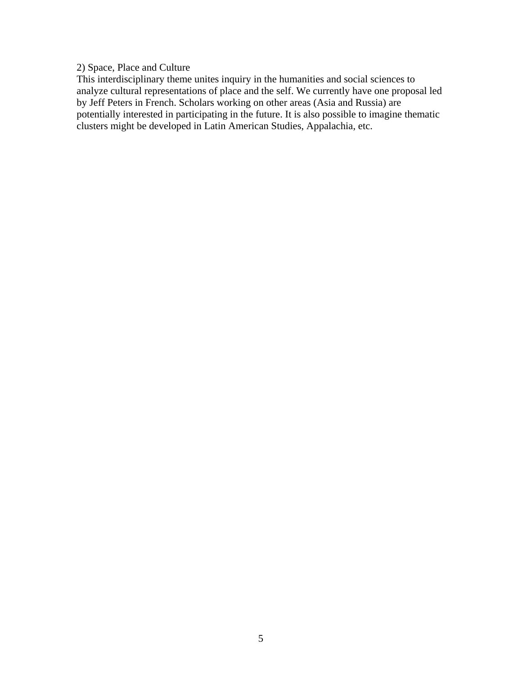# 2) Space, Place and Culture

This interdisciplinary theme unites inquiry in the humanities and social sciences to analyze cultural representations of place and the self. We currently have one proposal led by Jeff Peters in French. Scholars working on other areas (Asia and Russia) are potentially interested in participating in the future. It is also possible to imagine thematic clusters might be developed in Latin American Studies, Appalachia, etc.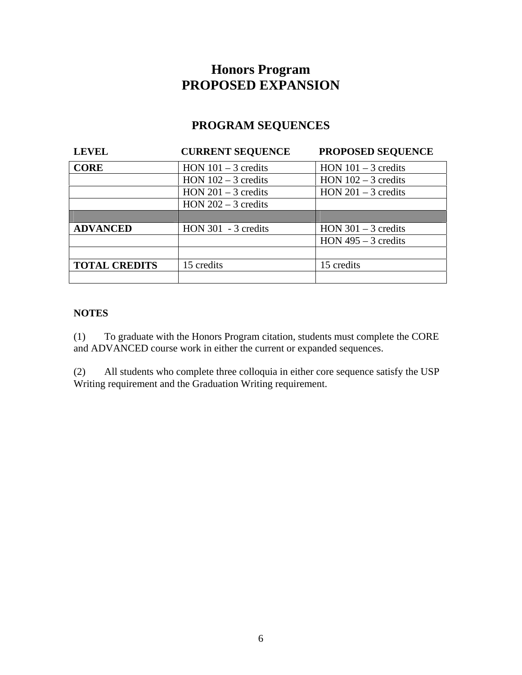# **Honors Program PROPOSED EXPANSION**

# **PROGRAM SEQUENCES**

| <b>LEVEL</b>         | <b>CURRENT SEQUENCE</b> | PROPOSED SEQUENCE     |
|----------------------|-------------------------|-----------------------|
| <b>CORE</b>          | HON $101 - 3$ credits   | HON $101 - 3$ credits |
|                      | HON $102 - 3$ credits   | HON $102 - 3$ credits |
|                      | HON $201 - 3$ credits   | $HON 201 - 3$ credits |
|                      | HON $202 - 3$ credits   |                       |
|                      |                         |                       |
| <b>ADVANCED</b>      | $HON$ 301 - 3 credits   | HON $301 - 3$ credits |
|                      |                         | HON $495 - 3$ credits |
|                      |                         |                       |
| <b>TOTAL CREDITS</b> | 15 credits              | 15 credits            |
|                      |                         |                       |

# **NOTES**

(1) To graduate with the Honors Program citation, students must complete the CORE and ADVANCED course work in either the current or expanded sequences.

(2) All students who complete three colloquia in either core sequence satisfy the USP Writing requirement and the Graduation Writing requirement.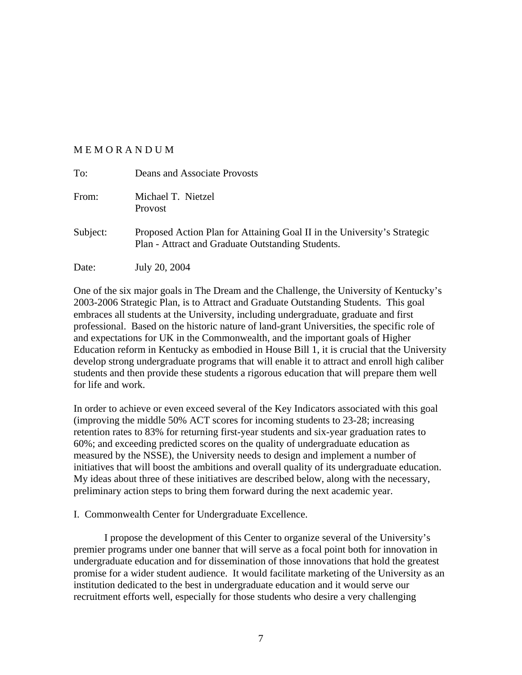#### M E M O R A N D U M

| To:      | Deans and Associate Provosts                                                                                                  |
|----------|-------------------------------------------------------------------------------------------------------------------------------|
| From:    | Michael T. Nietzel<br><b>Provost</b>                                                                                          |
| Subject: | Proposed Action Plan for Attaining Goal II in the University's Strategic<br>Plan - Attract and Graduate Outstanding Students. |
| Date:    | July 20, 2004                                                                                                                 |

One of the six major goals in The Dream and the Challenge, the University of Kentucky's 2003-2006 Strategic Plan, is to Attract and Graduate Outstanding Students. This goal embraces all students at the University, including undergraduate, graduate and first professional. Based on the historic nature of land-grant Universities, the specific role of and expectations for UK in the Commonwealth, and the important goals of Higher Education reform in Kentucky as embodied in House Bill 1, it is crucial that the University develop strong undergraduate programs that will enable it to attract and enroll high caliber students and then provide these students a rigorous education that will prepare them well for life and work.

In order to achieve or even exceed several of the Key Indicators associated with this goal (improving the middle 50% ACT scores for incoming students to 23-28; increasing retention rates to 83% for returning first-year students and six-year graduation rates to 60%; and exceeding predicted scores on the quality of undergraduate education as measured by the NSSE), the University needs to design and implement a number of initiatives that will boost the ambitions and overall quality of its undergraduate education. My ideas about three of these initiatives are described below, along with the necessary, preliminary action steps to bring them forward during the next academic year.

I. Commonwealth Center for Undergraduate Excellence.

I propose the development of this Center to organize several of the University's premier programs under one banner that will serve as a focal point both for innovation in undergraduate education and for dissemination of those innovations that hold the greatest promise for a wider student audience. It would facilitate marketing of the University as an institution dedicated to the best in undergraduate education and it would serve our recruitment efforts well, especially for those students who desire a very challenging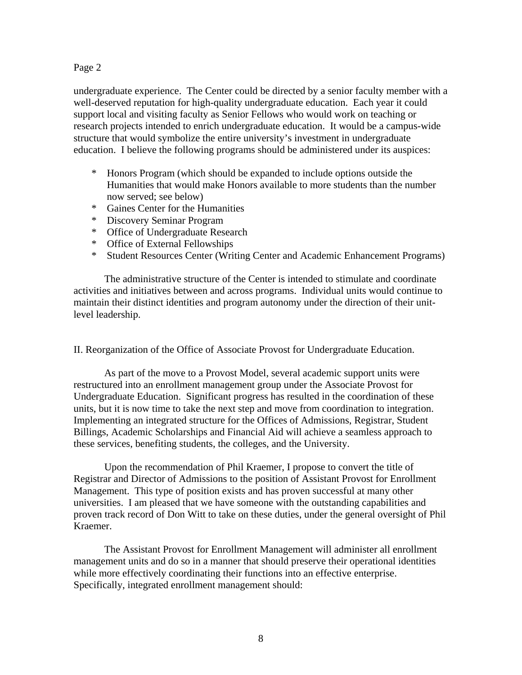# Page 2

undergraduate experience. The Center could be directed by a senior faculty member with a well-deserved reputation for high-quality undergraduate education. Each year it could support local and visiting faculty as Senior Fellows who would work on teaching or research projects intended to enrich undergraduate education. It would be a campus-wide structure that would symbolize the entire university's investment in undergraduate education. I believe the following programs should be administered under its auspices:

- \* Honors Program (which should be expanded to include options outside the Humanities that would make Honors available to more students than the number now served; see below)
- \* Gaines Center for the Humanities
- \* Discovery Seminar Program
- \* Office of Undergraduate Research
- \* Office of External Fellowships
- \* Student Resources Center (Writing Center and Academic Enhancement Programs)

The administrative structure of the Center is intended to stimulate and coordinate activities and initiatives between and across programs. Individual units would continue to maintain their distinct identities and program autonomy under the direction of their unitlevel leadership.

## II. Reorganization of the Office of Associate Provost for Undergraduate Education.

As part of the move to a Provost Model, several academic support units were restructured into an enrollment management group under the Associate Provost for Undergraduate Education. Significant progress has resulted in the coordination of these units, but it is now time to take the next step and move from coordination to integration. Implementing an integrated structure for the Offices of Admissions, Registrar, Student Billings, Academic Scholarships and Financial Aid will achieve a seamless approach to these services, benefiting students, the colleges, and the University.

Upon the recommendation of Phil Kraemer, I propose to convert the title of Registrar and Director of Admissions to the position of Assistant Provost for Enrollment Management. This type of position exists and has proven successful at many other universities. I am pleased that we have someone with the outstanding capabilities and proven track record of Don Witt to take on these duties, under the general oversight of Phil Kraemer.

The Assistant Provost for Enrollment Management will administer all enrollment management units and do so in a manner that should preserve their operational identities while more effectively coordinating their functions into an effective enterprise. Specifically, integrated enrollment management should: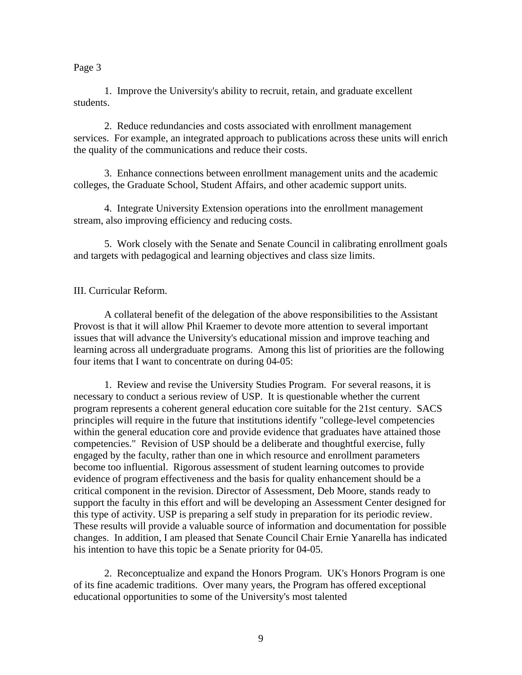#### Page 3

1. Improve the University's ability to recruit, retain, and graduate excellent students.

2. Reduce redundancies and costs associated with enrollment management services. For example, an integrated approach to publications across these units will enrich the quality of the communications and reduce their costs.

3. Enhance connections between enrollment management units and the academic colleges, the Graduate School, Student Affairs, and other academic support units.

4. Integrate University Extension operations into the enrollment management stream, also improving efficiency and reducing costs.

5. Work closely with the Senate and Senate Council in calibrating enrollment goals and targets with pedagogical and learning objectives and class size limits.

## III. Curricular Reform.

A collateral benefit of the delegation of the above responsibilities to the Assistant Provost is that it will allow Phil Kraemer to devote more attention to several important issues that will advance the University's educational mission and improve teaching and learning across all undergraduate programs. Among this list of priorities are the following four items that I want to concentrate on during 04-05:

1. Review and revise the University Studies Program. For several reasons, it is necessary to conduct a serious review of USP. It is questionable whether the current program represents a coherent general education core suitable for the 21st century. SACS principles will require in the future that institutions identify "college-level competencies within the general education core and provide evidence that graduates have attained those competencies." Revision of USP should be a deliberate and thoughtful exercise, fully engaged by the faculty, rather than one in which resource and enrollment parameters become too influential. Rigorous assessment of student learning outcomes to provide evidence of program effectiveness and the basis for quality enhancement should be a critical component in the revision. Director of Assessment, Deb Moore, stands ready to support the faculty in this effort and will be developing an Assessment Center designed for this type of activity. USP is preparing a self study in preparation for its periodic review. These results will provide a valuable source of information and documentation for possible changes. In addition, I am pleased that Senate Council Chair Ernie Yanarella has indicated his intention to have this topic be a Senate priority for 04-05.

2. Reconceptualize and expand the Honors Program. UK's Honors Program is one of its fine academic traditions. Over many years, the Program has offered exceptional educational opportunities to some of the University's most talented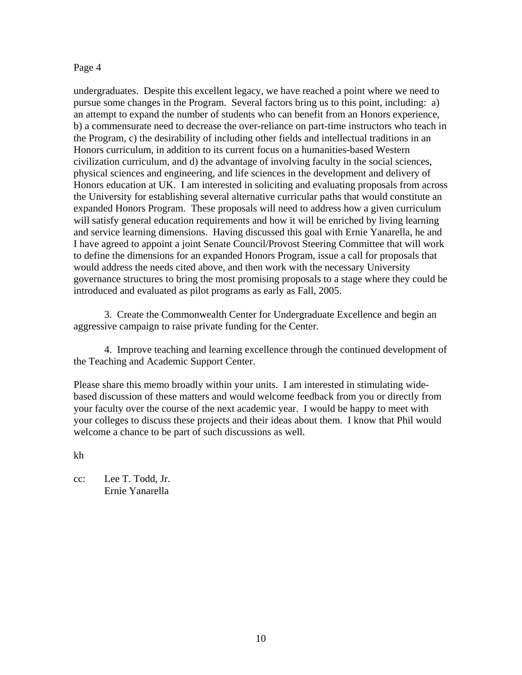#### Page 4

undergraduates. Despite this excellent legacy, we have reached a point where we need to pursue some changes in the Program. Several factors bring us to this point, including: a) an attempt to expand the number of students who can benefit from an Honors experience, b) a commensurate need to decrease the over-reliance on part-time instructors who teach in the Program, c) the desirability of including other fields and intellectual traditions in an Honors curriculum, in addition to its current focus on a humanities-based Western civilization curriculum, and d) the advantage of involving faculty in the social sciences, physical sciences and engineering, and life sciences in the development and delivery of Honors education at UK. I am interested in soliciting and evaluating proposals from across the University for establishing several alternative curricular paths that would constitute an expanded Honors Program. These proposals will need to address how a given curriculum will satisfy general education requirements and how it will be enriched by living learning and service learning dimensions. Having discussed this goal with Ernie Yanarella, he and I have agreed to appoint a joint Senate Council/Provost Steering Committee that will work to define the dimensions for an expanded Honors Program, issue a call for proposals that would address the needs cited above, and then work with the necessary University governance structures to bring the most promising proposals to a stage where they could be introduced and evaluated as pilot programs as early as Fall, 2005.

3. Create the Commonwealth Center for Undergraduate Excellence and begin an aggressive campaign to raise private funding for the Center.

4. Improve teaching and learning excellence through the continued development of the Teaching and Academic Support Center.

Please share this memo broadly within your units. I am interested in stimulating widebased discussion of these matters and would welcome feedback from you or directly from your faculty over the course of the next academic year. I would be happy to meet with your colleges to discuss these projects and their ideas about them. I know that Phil would welcome a chance to be part of such discussions as well.

kh

cc: Lee T. Todd, Jr. Ernie Yanarella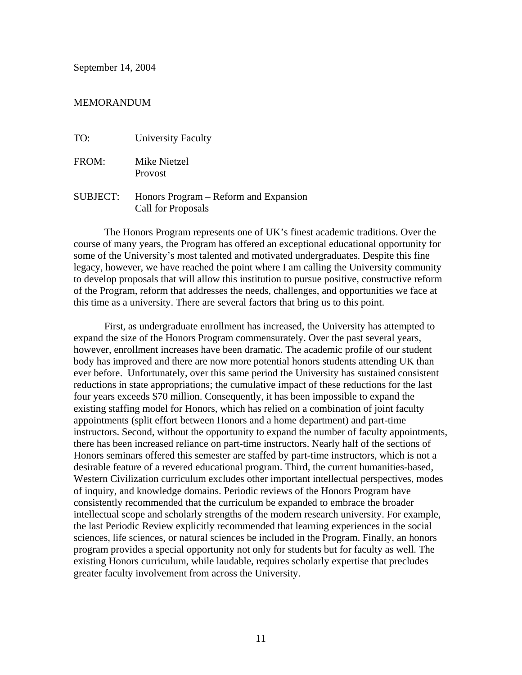September 14, 2004

#### MEMORANDUM

| TO:      | <b>University Faculty</b>                                   |
|----------|-------------------------------------------------------------|
| FROM:    | Mike Nietzel<br>Provost                                     |
| SUBJECT: | Honors Program – Reform and Expansion<br>Call for Proposals |

The Honors Program represents one of UK's finest academic traditions. Over the course of many years, the Program has offered an exceptional educational opportunity for some of the University's most talented and motivated undergraduates. Despite this fine legacy, however, we have reached the point where I am calling the University community to develop proposals that will allow this institution to pursue positive, constructive reform of the Program, reform that addresses the needs, challenges, and opportunities we face at this time as a university. There are several factors that bring us to this point.

First, as undergraduate enrollment has increased, the University has attempted to expand the size of the Honors Program commensurately. Over the past several years, however, enrollment increases have been dramatic. The academic profile of our student body has improved and there are now more potential honors students attending UK than ever before. Unfortunately, over this same period the University has sustained consistent reductions in state appropriations; the cumulative impact of these reductions for the last four years exceeds \$70 million. Consequently, it has been impossible to expand the existing staffing model for Honors, which has relied on a combination of joint faculty appointments (split effort between Honors and a home department) and part-time instructors. Second, without the opportunity to expand the number of faculty appointments, there has been increased reliance on part-time instructors. Nearly half of the sections of Honors seminars offered this semester are staffed by part-time instructors, which is not a desirable feature of a revered educational program. Third, the current humanities-based, Western Civilization curriculum excludes other important intellectual perspectives, modes of inquiry, and knowledge domains. Periodic reviews of the Honors Program have consistently recommended that the curriculum be expanded to embrace the broader intellectual scope and scholarly strengths of the modern research university. For example, the last Periodic Review explicitly recommended that learning experiences in the social sciences, life sciences, or natural sciences be included in the Program. Finally, an honors program provides a special opportunity not only for students but for faculty as well. The existing Honors curriculum, while laudable, requires scholarly expertise that precludes greater faculty involvement from across the University.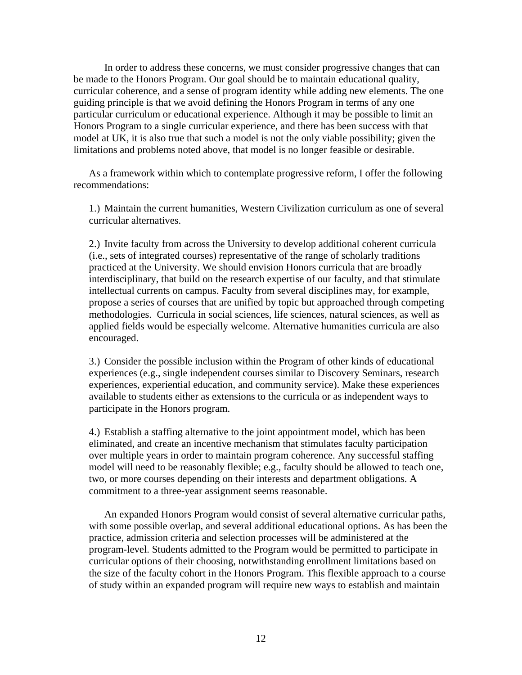In order to address these concerns, we must consider progressive changes that can be made to the Honors Program. Our goal should be to maintain educational quality, curricular coherence, and a sense of program identity while adding new elements. The one guiding principle is that we avoid defining the Honors Program in terms of any one particular curriculum or educational experience. Although it may be possible to limit an Honors Program to a single curricular experience, and there has been success with that model at UK, it is also true that such a model is not the only viable possibility; given the limitations and problems noted above, that model is no longer feasible or desirable.

As a framework within which to contemplate progressive reform, I offer the following recommendations:

1.) Maintain the current humanities, Western Civilization curriculum as one of several curricular alternatives.

2.) Invite faculty from across the University to develop additional coherent curricula (i.e., sets of integrated courses) representative of the range of scholarly traditions practiced at the University. We should envision Honors curricula that are broadly interdisciplinary, that build on the research expertise of our faculty, and that stimulate intellectual currents on campus. Faculty from several disciplines may, for example, propose a series of courses that are unified by topic but approached through competing methodologies. Curricula in social sciences, life sciences, natural sciences, as well as applied fields would be especially welcome. Alternative humanities curricula are also encouraged.

3.) Consider the possible inclusion within the Program of other kinds of educational experiences (e.g., single independent courses similar to Discovery Seminars, research experiences, experiential education, and community service). Make these experiences available to students either as extensions to the curricula or as independent ways to participate in the Honors program.

4.) Establish a staffing alternative to the joint appointment model, which has been eliminated, and create an incentive mechanism that stimulates faculty participation over multiple years in order to maintain program coherence. Any successful staffing model will need to be reasonably flexible; e.g., faculty should be allowed to teach one, two, or more courses depending on their interests and department obligations. A commitment to a three-year assignment seems reasonable.

An expanded Honors Program would consist of several alternative curricular paths, with some possible overlap, and several additional educational options. As has been the practice, admission criteria and selection processes will be administered at the program-level. Students admitted to the Program would be permitted to participate in curricular options of their choosing, notwithstanding enrollment limitations based on the size of the faculty cohort in the Honors Program. This flexible approach to a course of study within an expanded program will require new ways to establish and maintain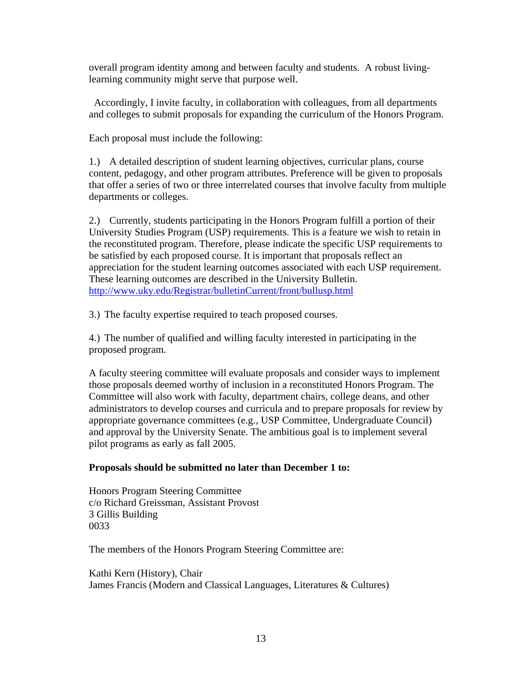overall program identity among and between faculty and students. A robust livinglearning community might serve that purpose well.

 Accordingly, I invite faculty, in collaboration with colleagues, from all departments and colleges to submit proposals for expanding the curriculum of the Honors Program.

Each proposal must include the following:

1.) A detailed description of student learning objectives, curricular plans, course content, pedagogy, and other program attributes. Preference will be given to proposals that offer a series of two or three interrelated courses that involve faculty from multiple departments or colleges.

2.) Currently, students participating in the Honors Program fulfill a portion of their University Studies Program (USP) requirements. This is a feature we wish to retain in the reconstituted program. Therefore, please indicate the specific USP requirements to be satisfied by each proposed course. It is important that proposals reflect an appreciation for the student learning outcomes associated with each USP requirement. These learning outcomes are described in the University Bulletin. <http://www.uky.edu/Registrar/bulletinCurrent/front/bullusp.html>

3.) The faculty expertise required to teach proposed courses.

4.) The number of qualified and willing faculty interested in participating in the proposed program.

A faculty steering committee will evaluate proposals and consider ways to implement those proposals deemed worthy of inclusion in a reconstituted Honors Program. The Committee will also work with faculty, department chairs, college deans, and other administrators to develop courses and curricula and to prepare proposals for review by appropriate governance committees (e.g., USP Committee, Undergraduate Council) and approval by the University Senate. The ambitious goal is to implement several pilot programs as early as fall 2005.

# **Proposals should be submitted no later than December 1 to:**

Honors Program Steering Committee c/o Richard Greissman, Assistant Provost 3 Gillis Building 0033

The members of the Honors Program Steering Committee are:

Kathi Kern (History), Chair James Francis (Modern and Classical Languages, Literatures & Cultures)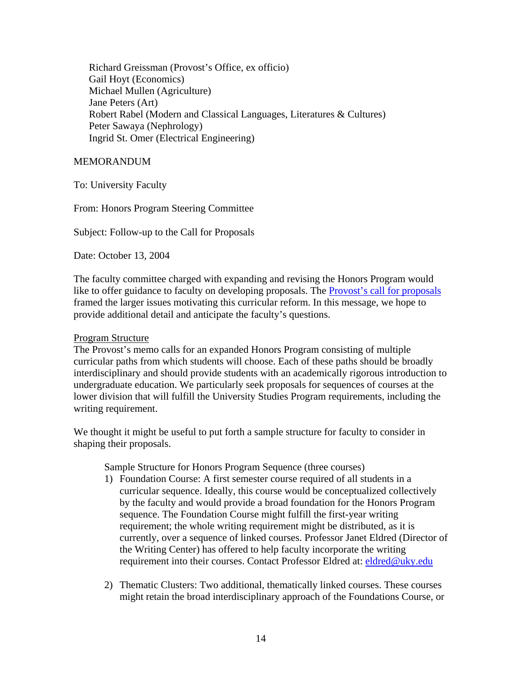Richard Greissman (Provost's Office, ex officio) Gail Hoyt (Economics) Michael Mullen (Agriculture) Jane Peters (Art) Robert Rabel (Modern and Classical Languages, Literatures & Cultures) Peter Sawaya (Nephrology) Ingrid St. Omer (Electrical Engineering)

# MEMORANDUM

To: University Faculty

From: Honors Program Steering Committee

Subject: Follow-up to the Call for Proposals

Date: October 13, 2004

The faculty committee charged with expanding and revising the Honors Program would like to offer guidance to faculty on developing proposals. The [Provost's call for proposals](http://www.uky.edu/Provost/Honors_Program-Call_for_Proposals.pdf) framed the larger issues motivating this curricular reform. In this message, we hope to provide additional detail and anticipate the faculty's questions.

#### Program Structure

The Provost's memo calls for an expanded Honors Program consisting of multiple curricular paths from which students will choose. Each of these paths should be broadly interdisciplinary and should provide students with an academically rigorous introduction to undergraduate education. We particularly seek proposals for sequences of courses at the lower division that will fulfill the University Studies Program requirements, including the writing requirement.

We thought it might be useful to put forth a sample structure for faculty to consider in shaping their proposals.

Sample Structure for Honors Program Sequence (three courses)

- 1) Foundation Course: A first semester course required of all students in a curricular sequence. Ideally, this course would be conceptualized collectively by the faculty and would provide a broad foundation for the Honors Program sequence. The Foundation Course might fulfill the first-year writing requirement; the whole writing requirement might be distributed, as it is currently, over a sequence of linked courses. Professor Janet Eldred (Director of the Writing Center) has offered to help faculty incorporate the writing requirement into their courses. Contact Professor Eldred at: [eldred@uky.edu](mailto:eldred@uky.edu)
- 2) Thematic Clusters: Two additional, thematically linked courses. These courses might retain the broad interdisciplinary approach of the Foundations Course, or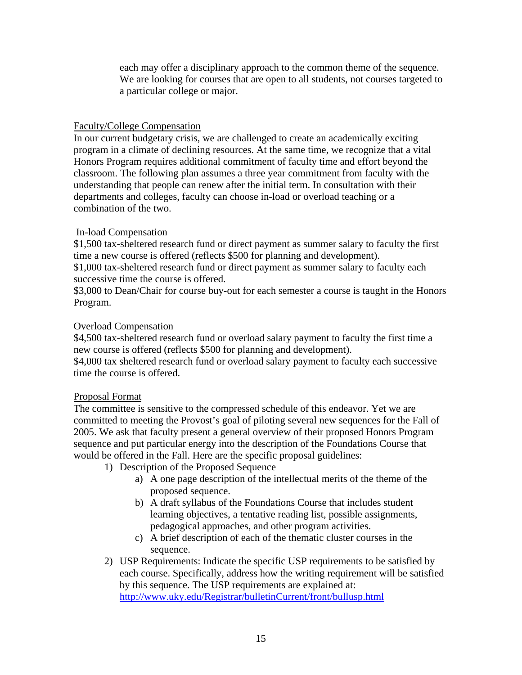each may offer a disciplinary approach to the common theme of the sequence. We are looking for courses that are open to all students, not courses targeted to a particular college or major.

# Faculty/College Compensation

In our current budgetary crisis, we are challenged to create an academically exciting program in a climate of declining resources. At the same time, we recognize that a vital Honors Program requires additional commitment of faculty time and effort beyond the classroom. The following plan assumes a three year commitment from faculty with the understanding that people can renew after the initial term. In consultation with their departments and colleges, faculty can choose in-load or overload teaching or a combination of the two.

# In-load Compensation

\$1,500 tax-sheltered research fund or direct payment as summer salary to faculty the first time a new course is offered (reflects \$500 for planning and development).

\$1,000 tax-sheltered research fund or direct payment as summer salary to faculty each successive time the course is offered.

\$3,000 to Dean/Chair for course buy-out for each semester a course is taught in the Honors Program.

# Overload Compensation

\$4,500 tax-sheltered research fund or overload salary payment to faculty the first time a new course is offered (reflects \$500 for planning and development).

\$4,000 tax sheltered research fund or overload salary payment to faculty each successive time the course is offered.

## Proposal Format

The committee is sensitive to the compressed schedule of this endeavor. Yet we are committed to meeting the Provost's goal of piloting several new sequences for the Fall of 2005. We ask that faculty present a general overview of their proposed Honors Program sequence and put particular energy into the description of the Foundations Course that would be offered in the Fall. Here are the specific proposal guidelines:

- 1) Description of the Proposed Sequence
	- a) A one page description of the intellectual merits of the theme of the proposed sequence.
	- b) A draft syllabus of the Foundations Course that includes student learning objectives, a tentative reading list, possible assignments, pedagogical approaches, and other program activities.
	- c) A brief description of each of the thematic cluster courses in the sequence.
- 2) USP Requirements: Indicate the specific USP requirements to be satisfied by each course. Specifically, address how the writing requirement will be satisfied by this sequence. The USP requirements are explained at: <http://www.uky.edu/Registrar/bulletinCurrent/front/bullusp.html>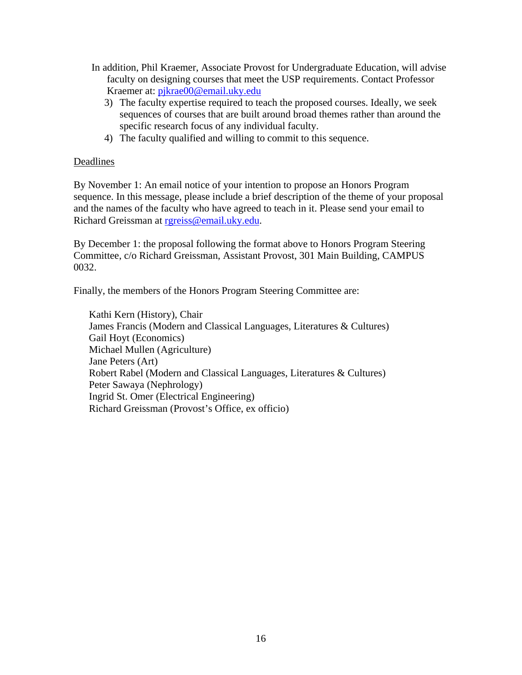- In addition, Phil Kraemer, Associate Provost for Undergraduate Education, will advise faculty on designing courses that meet the USP requirements. Contact Professor Kraemer at: [pjkrae00@email.uky.edu](mailto:pjkrae00@email.uky.edu)
	- 3) The faculty expertise required to teach the proposed courses. Ideally, we seek sequences of courses that are built around broad themes rather than around the specific research focus of any individual faculty.
	- 4) The faculty qualified and willing to commit to this sequence.

# Deadlines

By November 1: An email notice of your intention to propose an Honors Program sequence. In this message, please include a brief description of the theme of your proposal and the names of the faculty who have agreed to teach in it. Please send your email to Richard Greissman at [rgreiss@email.uky.edu](mailto:rgreiss@email.uky.edu).

By December 1: the proposal following the format above to Honors Program Steering Committee, c/o Richard Greissman, Assistant Provost, 301 Main Building, CAMPUS 0032.

Finally, the members of the Honors Program Steering Committee are:

Kathi Kern (History), Chair James Francis (Modern and Classical Languages, Literatures & Cultures) Gail Hoyt (Economics) Michael Mullen (Agriculture) Jane Peters (Art) Robert Rabel (Modern and Classical Languages, Literatures & Cultures) Peter Sawaya (Nephrology) Ingrid St. Omer (Electrical Engineering) Richard Greissman (Provost's Office, ex officio)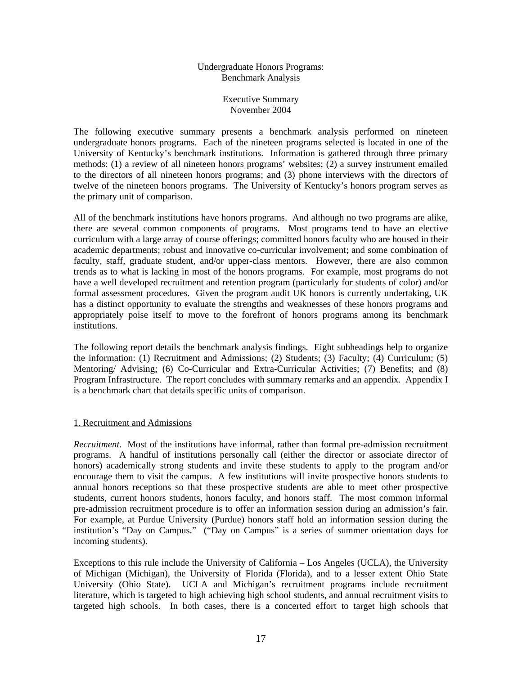#### Undergraduate Honors Programs: Benchmark Analysis

#### Executive Summary November 2004

The following executive summary presents a benchmark analysis performed on nineteen undergraduate honors programs. Each of the nineteen programs selected is located in one of the University of Kentucky's benchmark institutions. Information is gathered through three primary methods: (1) a review of all nineteen honors programs' websites; (2) a survey instrument emailed to the directors of all nineteen honors programs; and (3) phone interviews with the directors of twelve of the nineteen honors programs. The University of Kentucky's honors program serves as the primary unit of comparison.

All of the benchmark institutions have honors programs. And although no two programs are alike, there are several common components of programs. Most programs tend to have an elective curriculum with a large array of course offerings; committed honors faculty who are housed in their academic departments; robust and innovative co-curricular involvement; and some combination of faculty, staff, graduate student, and/or upper-class mentors. However, there are also common trends as to what is lacking in most of the honors programs. For example, most programs do not have a well developed recruitment and retention program (particularly for students of color) and/or formal assessment procedures. Given the program audit UK honors is currently undertaking, UK has a distinct opportunity to evaluate the strengths and weaknesses of these honors programs and appropriately poise itself to move to the forefront of honors programs among its benchmark institutions.

The following report details the benchmark analysis findings. Eight subheadings help to organize the information: (1) Recruitment and Admissions; (2) Students; (3) Faculty; (4) Curriculum; (5) Mentoring/ Advising; (6) Co-Curricular and Extra-Curricular Activities; (7) Benefits; and (8) Program Infrastructure. The report concludes with summary remarks and an appendix. Appendix I is a benchmark chart that details specific units of comparison.

#### 1. Recruitment and Admissions

*Recruitment.* Most of the institutions have informal, rather than formal pre-admission recruitment programs. A handful of institutions personally call (either the director or associate director of honors) academically strong students and invite these students to apply to the program and/or encourage them to visit the campus. A few institutions will invite prospective honors students to annual honors receptions so that these prospective students are able to meet other prospective students, current honors students, honors faculty, and honors staff. The most common informal pre-admission recruitment procedure is to offer an information session during an admission's fair. For example, at Purdue University (Purdue) honors staff hold an information session during the institution's "Day on Campus." ("Day on Campus" is a series of summer orientation days for incoming students).

Exceptions to this rule include the University of California – Los Angeles (UCLA), the University of Michigan (Michigan), the University of Florida (Florida), and to a lesser extent Ohio State University (Ohio State). UCLA and Michigan's recruitment programs include recruitment literature, which is targeted to high achieving high school students, and annual recruitment visits to targeted high schools. In both cases, there is a concerted effort to target high schools that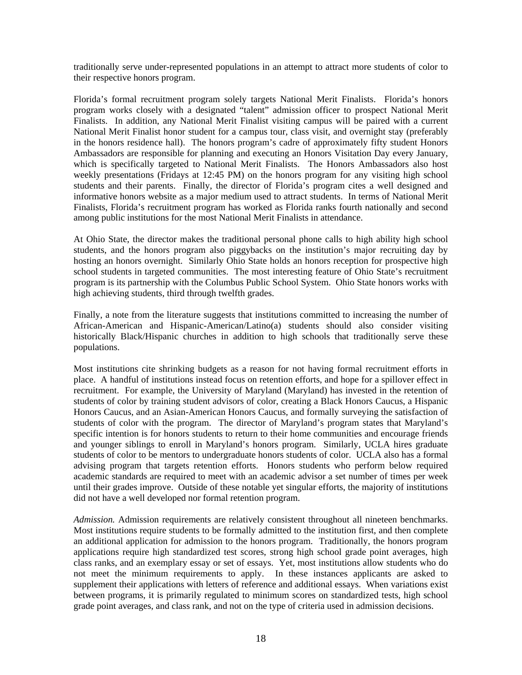traditionally serve under-represented populations in an attempt to attract more students of color to their respective honors program.

Florida's formal recruitment program solely targets National Merit Finalists. Florida's honors program works closely with a designated "talent" admission officer to prospect National Merit Finalists. In addition, any National Merit Finalist visiting campus will be paired with a current National Merit Finalist honor student for a campus tour, class visit, and overnight stay (preferably in the honors residence hall). The honors program's cadre of approximately fifty student Honors Ambassadors are responsible for planning and executing an Honors Visitation Day every January, which is specifically targeted to National Merit Finalists. The Honors Ambassadors also host weekly presentations (Fridays at 12:45 PM) on the honors program for any visiting high school students and their parents. Finally, the director of Florida's program cites a well designed and informative honors website as a major medium used to attract students. In terms of National Merit Finalists, Florida's recruitment program has worked as Florida ranks fourth nationally and second among public institutions for the most National Merit Finalists in attendance.

At Ohio State, the director makes the traditional personal phone calls to high ability high school students, and the honors program also piggybacks on the institution's major recruiting day by hosting an honors overnight. Similarly Ohio State holds an honors reception for prospective high school students in targeted communities. The most interesting feature of Ohio State's recruitment program is its partnership with the Columbus Public School System. Ohio State honors works with high achieving students, third through twelfth grades.

Finally, a note from the literature suggests that institutions committed to increasing the number of African-American and Hispanic-American/Latino(a) students should also consider visiting historically Black/Hispanic churches in addition to high schools that traditionally serve these populations.

Most institutions cite shrinking budgets as a reason for not having formal recruitment efforts in place. A handful of institutions instead focus on retention efforts, and hope for a spillover effect in recruitment. For example, the University of Maryland (Maryland) has invested in the retention of students of color by training student advisors of color, creating a Black Honors Caucus, a Hispanic Honors Caucus, and an Asian-American Honors Caucus, and formally surveying the satisfaction of students of color with the program. The director of Maryland's program states that Maryland's specific intention is for honors students to return to their home communities and encourage friends and younger siblings to enroll in Maryland's honors program. Similarly, UCLA hires graduate students of color to be mentors to undergraduate honors students of color. UCLA also has a formal advising program that targets retention efforts. Honors students who perform below required academic standards are required to meet with an academic advisor a set number of times per week until their grades improve. Outside of these notable yet singular efforts, the majority of institutions did not have a well developed nor formal retention program.

*Admission.* Admission requirements are relatively consistent throughout all nineteen benchmarks. Most institutions require students to be formally admitted to the institution first, and then complete an additional application for admission to the honors program. Traditionally, the honors program applications require high standardized test scores, strong high school grade point averages, high class ranks, and an exemplary essay or set of essays. Yet, most institutions allow students who do not meet the minimum requirements to apply. In these instances applicants are asked to supplement their applications with letters of reference and additional essays. When variations exist between programs, it is primarily regulated to minimum scores on standardized tests, high school grade point averages, and class rank, and not on the type of criteria used in admission decisions.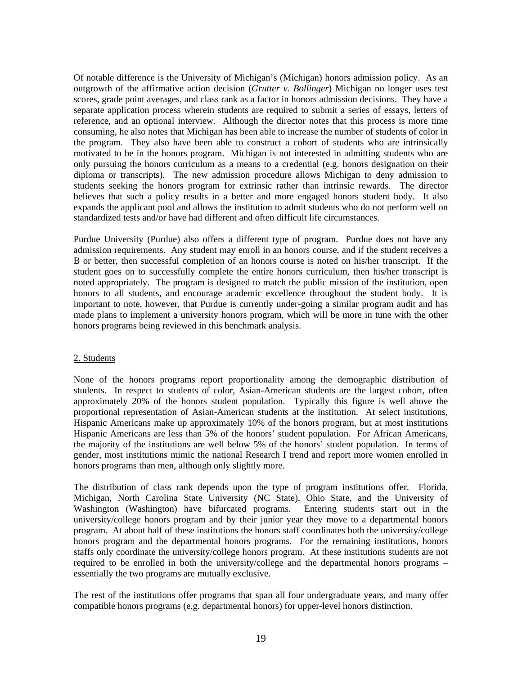Of notable difference is the University of Michigan's (Michigan) honors admission policy. As an outgrowth of the affirmative action decision (*Grutter v. Bollinger*) Michigan no longer uses test scores, grade point averages, and class rank as a factor in honors admission decisions. They have a separate application process wherein students are required to submit a series of essays, letters of reference, and an optional interview. Although the director notes that this process is more time consuming, he also notes that Michigan has been able to increase the number of students of color in the program. They also have been able to construct a cohort of students who are intrinsically motivated to be in the honors program. Michigan is not interested in admitting students who are only pursuing the honors curriculum as a means to a credential (e.g. honors designation on their diploma or transcripts). The new admission procedure allows Michigan to deny admission to students seeking the honors program for extrinsic rather than intrinsic rewards. The director believes that such a policy results in a better and more engaged honors student body. It also expands the applicant pool and allows the institution to admit students who do not perform well on standardized tests and/or have had different and often difficult life circumstances.

Purdue University (Purdue) also offers a different type of program. Purdue does not have any admission requirements. Any student may enroll in an honors course, and if the student receives a B or better, then successful completion of an honors course is noted on his/her transcript. If the student goes on to successfully complete the entire honors curriculum, then his/her transcript is noted appropriately. The program is designed to match the public mission of the institution, open honors to all students, and encourage academic excellence throughout the student body. It is important to note, however, that Purdue is currently under-going a similar program audit and has made plans to implement a university honors program, which will be more in tune with the other honors programs being reviewed in this benchmark analysis.

#### 2. Students

None of the honors programs report proportionality among the demographic distribution of students. In respect to students of color, Asian-American students are the largest cohort, often approximately 20% of the honors student population. Typically this figure is well above the proportional representation of Asian-American students at the institution. At select institutions, Hispanic Americans make up approximately 10% of the honors program, but at most institutions Hispanic Americans are less than 5% of the honors' student population. For African Americans, the majority of the institutions are well below 5% of the honors' student population. In terms of gender, most institutions mimic the national Research I trend and report more women enrolled in honors programs than men, although only slightly more.

The distribution of class rank depends upon the type of program institutions offer. Florida, Michigan, North Carolina State University (NC State), Ohio State, and the University of Washington (Washington) have bifurcated programs. Entering students start out in the university/college honors program and by their junior year they move to a departmental honors program. At about half of these institutions the honors staff coordinates both the university/college honors program and the departmental honors programs. For the remaining institutions, honors staffs only coordinate the university/college honors program. At these institutions students are not required to be enrolled in both the university/college and the departmental honors programs – essentially the two programs are mutually exclusive.

The rest of the institutions offer programs that span all four undergraduate years, and many offer compatible honors programs (e.g. departmental honors) for upper-level honors distinction.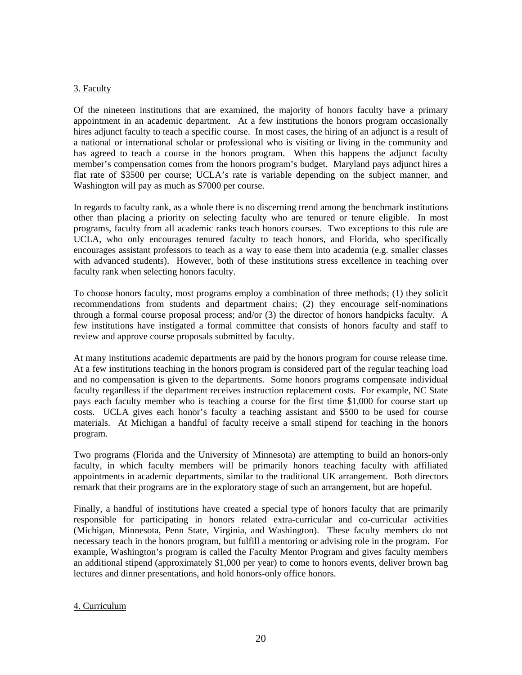#### 3. Faculty

Of the nineteen institutions that are examined, the majority of honors faculty have a primary appointment in an academic department. At a few institutions the honors program occasionally hires adjunct faculty to teach a specific course. In most cases, the hiring of an adjunct is a result of a national or international scholar or professional who is visiting or living in the community and has agreed to teach a course in the honors program. When this happens the adjunct faculty member's compensation comes from the honors program's budget. Maryland pays adjunct hires a flat rate of \$3500 per course; UCLA's rate is variable depending on the subject manner, and Washington will pay as much as \$7000 per course.

In regards to faculty rank, as a whole there is no discerning trend among the benchmark institutions other than placing a priority on selecting faculty who are tenured or tenure eligible. In most programs, faculty from all academic ranks teach honors courses. Two exceptions to this rule are UCLA, who only encourages tenured faculty to teach honors, and Florida, who specifically encourages assistant professors to teach as a way to ease them into academia (e.g. smaller classes with advanced students). However, both of these institutions stress excellence in teaching over faculty rank when selecting honors faculty.

To choose honors faculty, most programs employ a combination of three methods; (1) they solicit recommendations from students and department chairs; (2) they encourage self-nominations through a formal course proposal process; and/or (3) the director of honors handpicks faculty. A few institutions have instigated a formal committee that consists of honors faculty and staff to review and approve course proposals submitted by faculty.

At many institutions academic departments are paid by the honors program for course release time. At a few institutions teaching in the honors program is considered part of the regular teaching load and no compensation is given to the departments. Some honors programs compensate individual faculty regardless if the department receives instruction replacement costs. For example, NC State pays each faculty member who is teaching a course for the first time \$1,000 for course start up costs. UCLA gives each honor's faculty a teaching assistant and \$500 to be used for course materials. At Michigan a handful of faculty receive a small stipend for teaching in the honors program.

Two programs (Florida and the University of Minnesota) are attempting to build an honors-only faculty, in which faculty members will be primarily honors teaching faculty with affiliated appointments in academic departments, similar to the traditional UK arrangement. Both directors remark that their programs are in the exploratory stage of such an arrangement, but are hopeful.

Finally, a handful of institutions have created a special type of honors faculty that are primarily responsible for participating in honors related extra-curricular and co-curricular activities (Michigan, Minnesota, Penn State, Virginia, and Washington). These faculty members do not necessary teach in the honors program, but fulfill a mentoring or advising role in the program. For example, Washington's program is called the Faculty Mentor Program and gives faculty members an additional stipend (approximately \$1,000 per year) to come to honors events, deliver brown bag lectures and dinner presentations, and hold honors-only office honors.

#### 4. Curriculum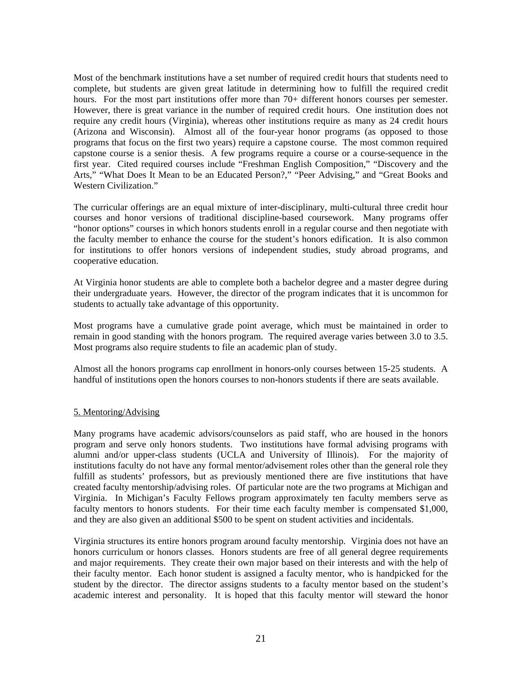Most of the benchmark institutions have a set number of required credit hours that students need to complete, but students are given great latitude in determining how to fulfill the required credit hours. For the most part institutions offer more than 70+ different honors courses per semester. However, there is great variance in the number of required credit hours. One institution does not require any credit hours (Virginia), whereas other institutions require as many as 24 credit hours (Arizona and Wisconsin). Almost all of the four-year honor programs (as opposed to those programs that focus on the first two years) require a capstone course. The most common required capstone course is a senior thesis. A few programs require a course or a course-sequence in the first year. Cited required courses include "Freshman English Composition," "Discovery and the Arts," "What Does It Mean to be an Educated Person?," "Peer Advising," and "Great Books and Western Civilization."

The curricular offerings are an equal mixture of inter-disciplinary, multi-cultural three credit hour courses and honor versions of traditional discipline-based coursework. Many programs offer "honor options" courses in which honors students enroll in a regular course and then negotiate with the faculty member to enhance the course for the student's honors edification. It is also common for institutions to offer honors versions of independent studies, study abroad programs, and cooperative education.

At Virginia honor students are able to complete both a bachelor degree and a master degree during their undergraduate years. However, the director of the program indicates that it is uncommon for students to actually take advantage of this opportunity.

Most programs have a cumulative grade point average, which must be maintained in order to remain in good standing with the honors program. The required average varies between 3.0 to 3.5. Most programs also require students to file an academic plan of study.

Almost all the honors programs cap enrollment in honors-only courses between 15-25 students. A handful of institutions open the honors courses to non-honors students if there are seats available.

#### 5. Mentoring/Advising

Many programs have academic advisors/counselors as paid staff, who are housed in the honors program and serve only honors students. Two institutions have formal advising programs with alumni and/or upper-class students (UCLA and University of Illinois). For the majority of institutions faculty do not have any formal mentor/advisement roles other than the general role they fulfill as students' professors, but as previously mentioned there are five institutions that have created faculty mentorship/advising roles. Of particular note are the two programs at Michigan and Virginia. In Michigan's Faculty Fellows program approximately ten faculty members serve as faculty mentors to honors students. For their time each faculty member is compensated \$1,000, and they are also given an additional \$500 to be spent on student activities and incidentals.

Virginia structures its entire honors program around faculty mentorship. Virginia does not have an honors curriculum or honors classes. Honors students are free of all general degree requirements and major requirements. They create their own major based on their interests and with the help of their faculty mentor. Each honor student is assigned a faculty mentor, who is handpicked for the student by the director. The director assigns students to a faculty mentor based on the student's academic interest and personality. It is hoped that this faculty mentor will steward the honor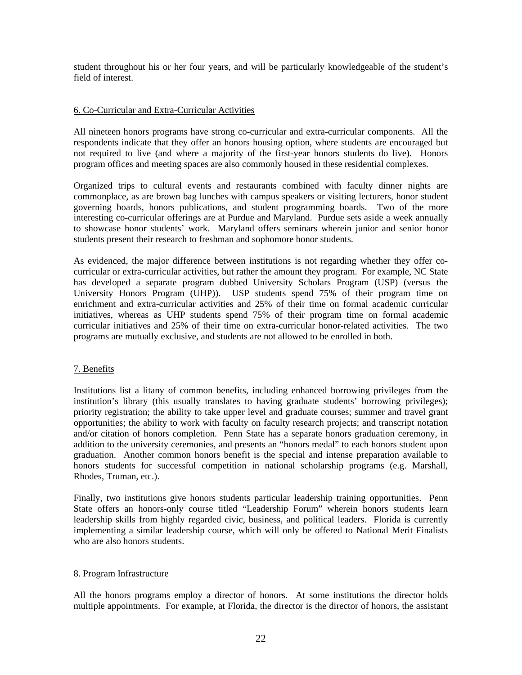student throughout his or her four years, and will be particularly knowledgeable of the student's field of interest.

#### 6. Co-Curricular and Extra-Curricular Activities

All nineteen honors programs have strong co-curricular and extra-curricular components. All the respondents indicate that they offer an honors housing option, where students are encouraged but not required to live (and where a majority of the first-year honors students do live). Honors program offices and meeting spaces are also commonly housed in these residential complexes.

Organized trips to cultural events and restaurants combined with faculty dinner nights are commonplace, as are brown bag lunches with campus speakers or visiting lecturers, honor student governing boards, honors publications, and student programming boards. Two of the more interesting co-curricular offerings are at Purdue and Maryland. Purdue sets aside a week annually to showcase honor students' work. Maryland offers seminars wherein junior and senior honor students present their research to freshman and sophomore honor students.

As evidenced, the major difference between institutions is not regarding whether they offer cocurricular or extra-curricular activities, but rather the amount they program. For example, NC State has developed a separate program dubbed University Scholars Program (USP) (versus the University Honors Program (UHP)). USP students spend 75% of their program time on enrichment and extra-curricular activities and 25% of their time on formal academic curricular initiatives, whereas as UHP students spend 75% of their program time on formal academic curricular initiatives and 25% of their time on extra-curricular honor-related activities. The two programs are mutually exclusive, and students are not allowed to be enrolled in both.

#### 7. Benefits

Institutions list a litany of common benefits, including enhanced borrowing privileges from the institution's library (this usually translates to having graduate students' borrowing privileges); priority registration; the ability to take upper level and graduate courses; summer and travel grant opportunities; the ability to work with faculty on faculty research projects; and transcript notation and/or citation of honors completion. Penn State has a separate honors graduation ceremony, in addition to the university ceremonies, and presents an "honors medal" to each honors student upon graduation. Another common honors benefit is the special and intense preparation available to honors students for successful competition in national scholarship programs (e.g. Marshall, Rhodes, Truman, etc.).

Finally, two institutions give honors students particular leadership training opportunities. Penn State offers an honors-only course titled "Leadership Forum" wherein honors students learn leadership skills from highly regarded civic, business, and political leaders. Florida is currently implementing a similar leadership course, which will only be offered to National Merit Finalists who are also honors students.

#### 8. Program Infrastructure

All the honors programs employ a director of honors. At some institutions the director holds multiple appointments. For example, at Florida, the director is the director of honors, the assistant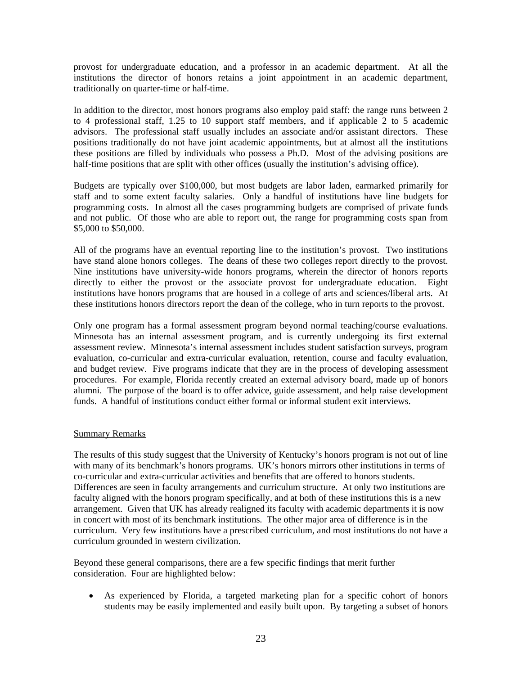provost for undergraduate education, and a professor in an academic department. At all the institutions the director of honors retains a joint appointment in an academic department, traditionally on quarter-time or half-time.

In addition to the director, most honors programs also employ paid staff: the range runs between 2 to 4 professional staff, 1.25 to 10 support staff members, and if applicable 2 to 5 academic advisors. The professional staff usually includes an associate and/or assistant directors. These positions traditionally do not have joint academic appointments, but at almost all the institutions these positions are filled by individuals who possess a Ph.D. Most of the advising positions are half-time positions that are split with other offices (usually the institution's advising office).

Budgets are typically over \$100,000, but most budgets are labor laden, earmarked primarily for staff and to some extent faculty salaries. Only a handful of institutions have line budgets for programming costs. In almost all the cases programming budgets are comprised of private funds and not public. Of those who are able to report out, the range for programming costs span from \$5,000 to \$50,000.

All of the programs have an eventual reporting line to the institution's provost. Two institutions have stand alone honors colleges. The deans of these two colleges report directly to the provost. Nine institutions have university-wide honors programs, wherein the director of honors reports directly to either the provost or the associate provost for undergraduate education. Eight institutions have honors programs that are housed in a college of arts and sciences/liberal arts. At these institutions honors directors report the dean of the college, who in turn reports to the provost.

Only one program has a formal assessment program beyond normal teaching/course evaluations. Minnesota has an internal assessment program, and is currently undergoing its first external assessment review. Minnesota's internal assessment includes student satisfaction surveys, program evaluation, co-curricular and extra-curricular evaluation, retention, course and faculty evaluation, and budget review. Five programs indicate that they are in the process of developing assessment procedures. For example, Florida recently created an external advisory board, made up of honors alumni. The purpose of the board is to offer advice, guide assessment, and help raise development funds. A handful of institutions conduct either formal or informal student exit interviews.

#### Summary Remarks

The results of this study suggest that the University of Kentucky's honors program is not out of line with many of its benchmark's honors programs. UK's honors mirrors other institutions in terms of co-curricular and extra-curricular activities and benefits that are offered to honors students. Differences are seen in faculty arrangements and curriculum structure. At only two institutions are faculty aligned with the honors program specifically, and at both of these institutions this is a new arrangement. Given that UK has already realigned its faculty with academic departments it is now in concert with most of its benchmark institutions. The other major area of difference is in the curriculum. Very few institutions have a prescribed curriculum, and most institutions do not have a curriculum grounded in western civilization.

Beyond these general comparisons, there are a few specific findings that merit further consideration. Four are highlighted below:

• As experienced by Florida, a targeted marketing plan for a specific cohort of honors students may be easily implemented and easily built upon. By targeting a subset of honors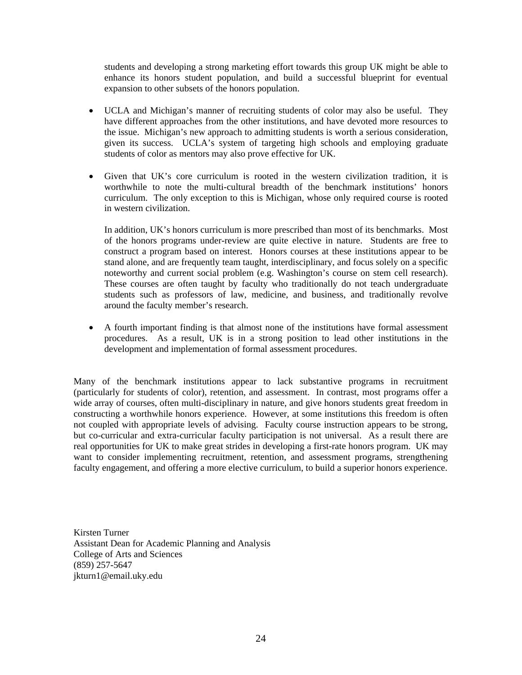students and developing a strong marketing effort towards this group UK might be able to enhance its honors student population, and build a successful blueprint for eventual expansion to other subsets of the honors population.

- UCLA and Michigan's manner of recruiting students of color may also be useful. They have different approaches from the other institutions, and have devoted more resources to the issue. Michigan's new approach to admitting students is worth a serious consideration, given its success. UCLA's system of targeting high schools and employing graduate students of color as mentors may also prove effective for UK.
- Given that UK's core curriculum is rooted in the western civilization tradition, it is worthwhile to note the multi-cultural breadth of the benchmark institutions' honors curriculum. The only exception to this is Michigan, whose only required course is rooted in western civilization.

In addition, UK's honors curriculum is more prescribed than most of its benchmarks. Most of the honors programs under-review are quite elective in nature. Students are free to construct a program based on interest. Honors courses at these institutions appear to be stand alone, and are frequently team taught, interdisciplinary, and focus solely on a specific noteworthy and current social problem (e.g. Washington's course on stem cell research). These courses are often taught by faculty who traditionally do not teach undergraduate students such as professors of law, medicine, and business, and traditionally revolve around the faculty member's research.

• A fourth important finding is that almost none of the institutions have formal assessment procedures. As a result, UK is in a strong position to lead other institutions in the development and implementation of formal assessment procedures.

Many of the benchmark institutions appear to lack substantive programs in recruitment (particularly for students of color), retention, and assessment. In contrast, most programs offer a wide array of courses, often multi-disciplinary in nature, and give honors students great freedom in constructing a worthwhile honors experience. However, at some institutions this freedom is often not coupled with appropriate levels of advising. Faculty course instruction appears to be strong, but co-curricular and extra-curricular faculty participation is not universal. As a result there are real opportunities for UK to make great strides in developing a first-rate honors program. UK may want to consider implementing recruitment, retention, and assessment programs, strengthening faculty engagement, and offering a more elective curriculum, to build a superior honors experience.

Kirsten Turner Assistant Dean for Academic Planning and Analysis College of Arts and Sciences (859) 257-5647 jkturn1@email.uky.edu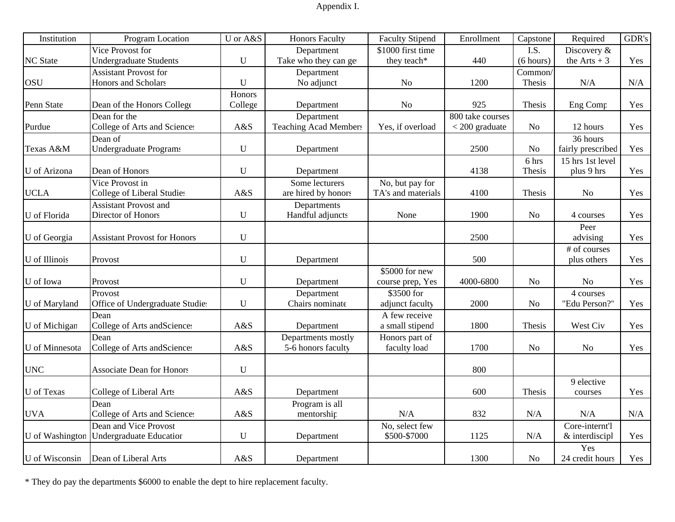# Appendix I.

| Institution     | Program Location                    | U or A&S  | <b>Honors Faculty</b>        | <b>Faculty Stipend</b> | Enrollment       | Capstone       | Required          | GDR's |
|-----------------|-------------------------------------|-----------|------------------------------|------------------------|------------------|----------------|-------------------|-------|
|                 | Vice Provost for                    |           | Department                   | \$1000 first time      |                  | I.S.           | Discovery &       |       |
| <b>NC</b> State | Undergraduate Students              | U         | Take who they can get        | they teach*            | 440              | (6 hours)      | the Arts $+3$     | Yes   |
|                 | <b>Assistant Provost for</b>        |           | Department                   |                        |                  | Common         |                   |       |
| <b>OSU</b>      | Honors and Scholars                 | U         | No adjunct                   | No                     | 1200             | Thesis         | $\rm N/A$         | N/A   |
|                 |                                     | Honors    |                              |                        |                  |                |                   |       |
| Penn State      | Dean of the Honors College          | College   | Department                   | N <sub>o</sub>         | 925              | Thesis         | Eng Comp          | Yes   |
|                 | Dean for the                        |           | Department                   |                        | 800 take courses |                |                   |       |
| Purdue          | College of Arts and Sciences        | A&S       | <b>Teaching Acad Members</b> | Yes, if overload       | $<$ 200 graduate | N <sub>o</sub> | 12 hours          | Yes   |
|                 | Dean of                             |           |                              |                        |                  |                | 36 hours          |       |
| Texas A&M       | Undergraduate Programs              | U         | Department                   |                        | 2500             | N <sub>o</sub> | fairly prescribed | Yes   |
|                 |                                     |           |                              |                        |                  | 6 hrs          | 15 hrs 1st level  |       |
| U of Arizona    | Dean of Honors                      | U         | Department                   |                        | 4138             | Thesis         | plus 9 hrs        | Yes   |
|                 | Vice Provost in                     |           | Some lecturers               | No, but pay for        |                  |                |                   |       |
| <b>UCLA</b>     | College of Liberal Studies          | A&S       | are hired by honors          | TA's and materials     | 4100             | Thesis         | No                | Yes   |
|                 | <b>Assistant Provost and</b>        |           | Departments                  |                        |                  |                |                   |       |
| U of Florida    | Director of Honors                  | U         | Handful adjuncts             | None                   | 1900             | N <sub>0</sub> | 4 courses         | Yes   |
|                 |                                     |           |                              |                        |                  |                | Peer              |       |
| U of Georgia    | <b>Assistant Provost for Honors</b> | U         |                              |                        | 2500             |                | advising          | Yes   |
|                 |                                     |           |                              |                        |                  |                | # of courses      |       |
| U of Illinois   | Provost                             | U         | Department                   |                        | 500              |                | plus others       | Yes   |
|                 |                                     |           |                              | \$5000 for new         |                  |                |                   |       |
| U of Iowa       | Provost                             | U         | Department                   | course prep, Yes       | 4000-6800        | N <sub>o</sub> | No                | Yes   |
|                 | Provost                             |           | Department                   | \$3500 for             |                  |                | 4 courses         |       |
| U of Maryland   | Office of Undergraduate Studie:     | U         | Chairs nominate              | adjunct faculty        | 2000             | N <sub>o</sub> | "Edu Person?"     | Yes   |
|                 | Dean                                |           |                              | A few receive          |                  |                |                   |       |
| U of Michigan   | College of Arts and Sciences        | A&S       | Department                   | a small stipend        | 1800             | Thesis         | West Civ          | Yes   |
|                 | Dean                                |           | Departments mostly           | Honors part of         |                  |                |                   |       |
| U of Minnesota  | College of Arts and Sciences        | A&S       | 5-6 honors faculty           | faculty load           | 1700             | N <sub>o</sub> | $\rm No$          | Yes   |
|                 |                                     |           |                              |                        |                  |                |                   |       |
| <b>UNC</b>      | <b>Associate Dean for Honors</b>    | U         |                              |                        | 800              |                |                   |       |
|                 |                                     |           |                              |                        |                  |                | 9 elective        |       |
| U of Texas      | College of Liberal Arts             | A&S       | Department                   |                        | 600              | Thesis         | courses           | Yes   |
|                 | Dean                                |           | Program is all               |                        |                  |                |                   |       |
| <b>UVA</b>      | College of Arts and Sciences        | A&S       | mentorship                   | N/A                    | 832              | N/A            | N/A               | N/A   |
|                 | Dean and Vice Provost               |           |                              | No, select few         |                  |                | Core-internt'l    |       |
| U of Washington | <b>Undergraduate Education</b>      | ${\bf U}$ | Department                   | \$500-\$7000           | 1125             | N/A            | & interdiscipl    | Yes   |
|                 |                                     |           |                              |                        |                  |                | Yes               |       |
| U of Wisconsin  | Dean of Liberal Arts                | A&S       | Department                   |                        | 1300             | N <sub>o</sub> | 24 credit hours   | Yes   |

\* They do pay the departments \$6000 to enable the dept to hire replacement faculty.